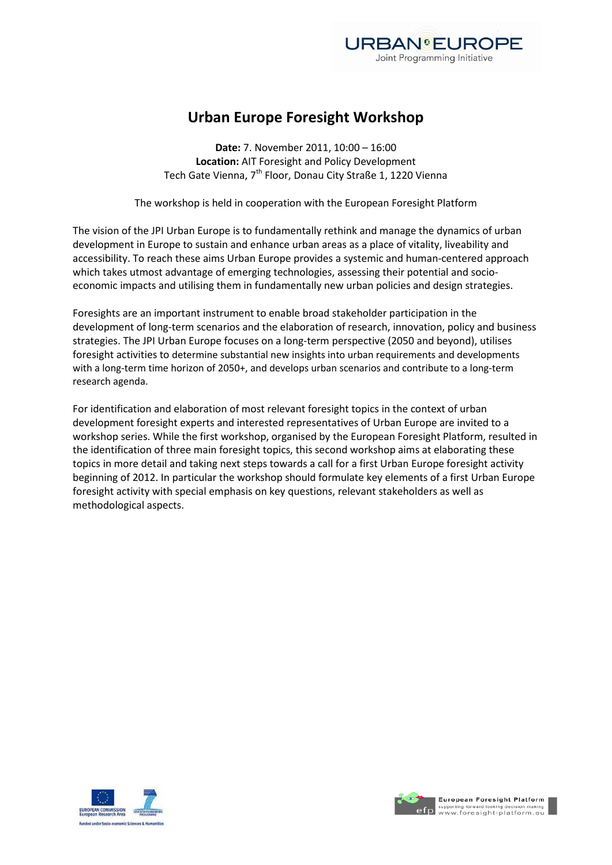

## **Urban Europe Foresight Workshop**

**Date:** 7. November 2011, 10:00 – 16:00 **Location:** AIT Foresight and Policy Development Tech Gate Vienna, 7<sup>th</sup> Floor, Donau City Straße 1, 1220 Vienna

The workshop is held in cooperation with the European Foresight Platform

The vision of the JPI Urban Europe is to fundamentally rethink and manage the dynamics of urban development in Europe to sustain and enhance urban areas as a place of vitality, liveability and accessibility. To reach these aims Urban Europe provides a systemic and human-centered approach which takes utmost advantage of emerging technologies, assessing their potential and socioeconomic impacts and utilising them in fundamentally new urban policies and design strategies.

Foresights are an important instrument to enable broad stakeholder participation in the development of long-term scenarios and the elaboration of research, innovation, policy and business strategies. The JPI Urban Europe focuses on a long-term perspective (2050 and beyond), utilises foresight activities to determine substantial new insights into urban requirements and developments with a long-term time horizon of 2050+, and develops urban scenarios and contribute to a long-term research agenda.

For identification and elaboration of most relevant foresight topics in the context of urban development foresight experts and interested representatives of Urban Europe are invited to a workshop series. While the first workshop, organised by the European Foresight Platform, resulted in the identification of three main foresight topics, this second workshop aims at elaborating these topics in more detail and taking next steps towards a call for a first Urban Europe foresight activity beginning of 2012. In particular the workshop should formulate key elements of a first Urban Europe foresight activity with special emphasis on key questions, relevant stakeholders as well as methodological aspects.



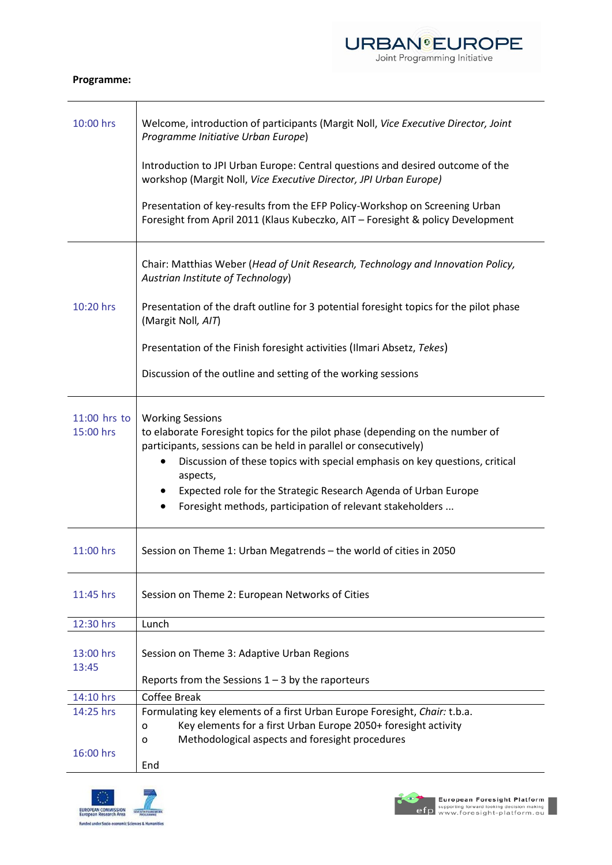## URBAN<sup>G</sup>EUROPE

## **Programme:**

| 10:00 hrs                   | Welcome, introduction of participants (Margit Noll, Vice Executive Director, Joint<br>Programme Initiative Urban Europe)                                                                                                                                                                                                                                                                                             |
|-----------------------------|----------------------------------------------------------------------------------------------------------------------------------------------------------------------------------------------------------------------------------------------------------------------------------------------------------------------------------------------------------------------------------------------------------------------|
|                             | Introduction to JPI Urban Europe: Central questions and desired outcome of the<br>workshop (Margit Noll, Vice Executive Director, JPI Urban Europe)                                                                                                                                                                                                                                                                  |
|                             | Presentation of key-results from the EFP Policy-Workshop on Screening Urban<br>Foresight from April 2011 (Klaus Kubeczko, AIT - Foresight & policy Development                                                                                                                                                                                                                                                       |
|                             | Chair: Matthias Weber (Head of Unit Research, Technology and Innovation Policy,<br>Austrian Institute of Technology)                                                                                                                                                                                                                                                                                                 |
| 10:20 hrs                   | Presentation of the draft outline for 3 potential foresight topics for the pilot phase<br>(Margit Noll, AIT)                                                                                                                                                                                                                                                                                                         |
|                             | Presentation of the Finish foresight activities (Ilmari Absetz, Tekes)                                                                                                                                                                                                                                                                                                                                               |
|                             | Discussion of the outline and setting of the working sessions                                                                                                                                                                                                                                                                                                                                                        |
| $11:00$ hrs to<br>15:00 hrs | <b>Working Sessions</b><br>to elaborate Foresight topics for the pilot phase (depending on the number of<br>participants, sessions can be held in parallel or consecutively)<br>Discussion of these topics with special emphasis on key questions, critical<br>aspects,<br>Expected role for the Strategic Research Agenda of Urban Europe<br>$\bullet$<br>Foresight methods, participation of relevant stakeholders |
| 11:00 hrs                   | Session on Theme 1: Urban Megatrends - the world of cities in 2050                                                                                                                                                                                                                                                                                                                                                   |
| 11:45 hrs                   | Session on Theme 2: European Networks of Cities                                                                                                                                                                                                                                                                                                                                                                      |
| 12:30 hrs                   | Lunch                                                                                                                                                                                                                                                                                                                                                                                                                |
| 13:00 hrs<br>13:45          | Session on Theme 3: Adaptive Urban Regions                                                                                                                                                                                                                                                                                                                                                                           |
|                             | Reports from the Sessions $1 - 3$ by the raporteurs                                                                                                                                                                                                                                                                                                                                                                  |
| 14:10 hrs                   | <b>Coffee Break</b>                                                                                                                                                                                                                                                                                                                                                                                                  |
| 14:25 hrs                   | Formulating key elements of a first Urban Europe Foresight, Chair: t.b.a.                                                                                                                                                                                                                                                                                                                                            |
|                             | Key elements for a first Urban Europe 2050+ foresight activity<br>o                                                                                                                                                                                                                                                                                                                                                  |
| 16:00 hrs                   | Methodological aspects and foresight procedures<br>o<br>End                                                                                                                                                                                                                                                                                                                                                          |